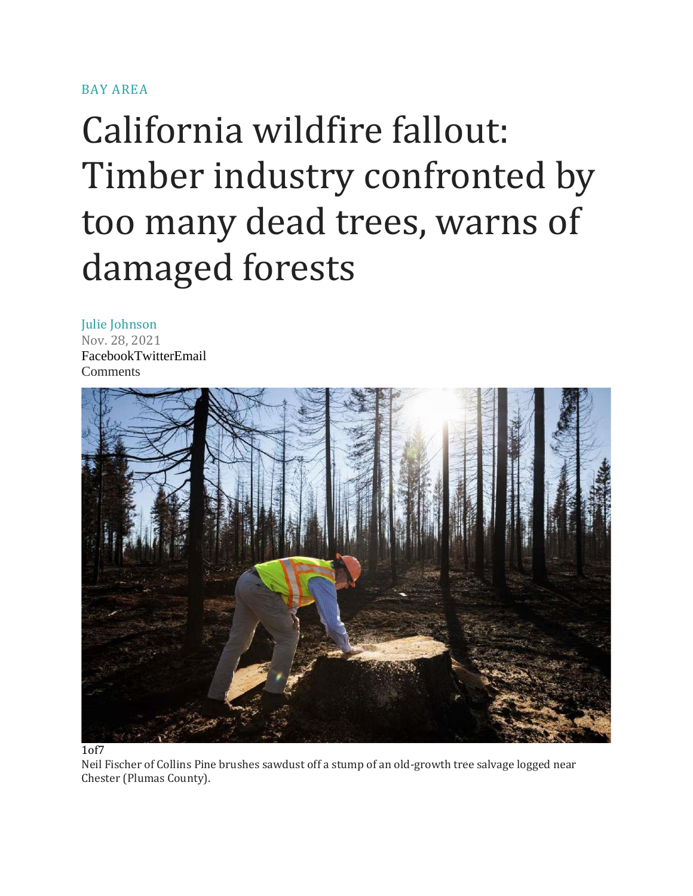## [BAY AREA](https://www.sfchronicle.com/bayarea/)

## California wildfire fallout: Timber industry confronted by too many dead trees, warns of damaged forests

## [Julie Johnson](https://www.sfchronicle.com/author/julie-johnson/)

Nov. 28, 2021 FacebookTwitterEmail **[Comments](https://www.sfchronicle.com/bayarea/articleComments/California-wildfire-fallout-Timber-industry-16655624.php)** 



## 1of7

Neil Fischer of Collins Pine brushes sawdust off a stump of an old-growth tree salvage logged near Chester (Plumas County).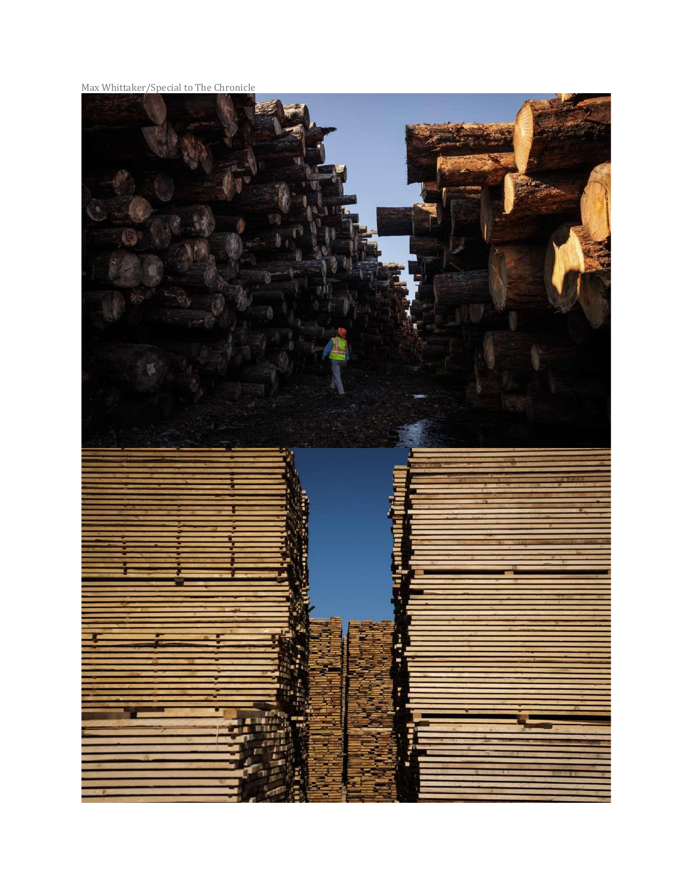Max Whittaker/Special to The Chronicle

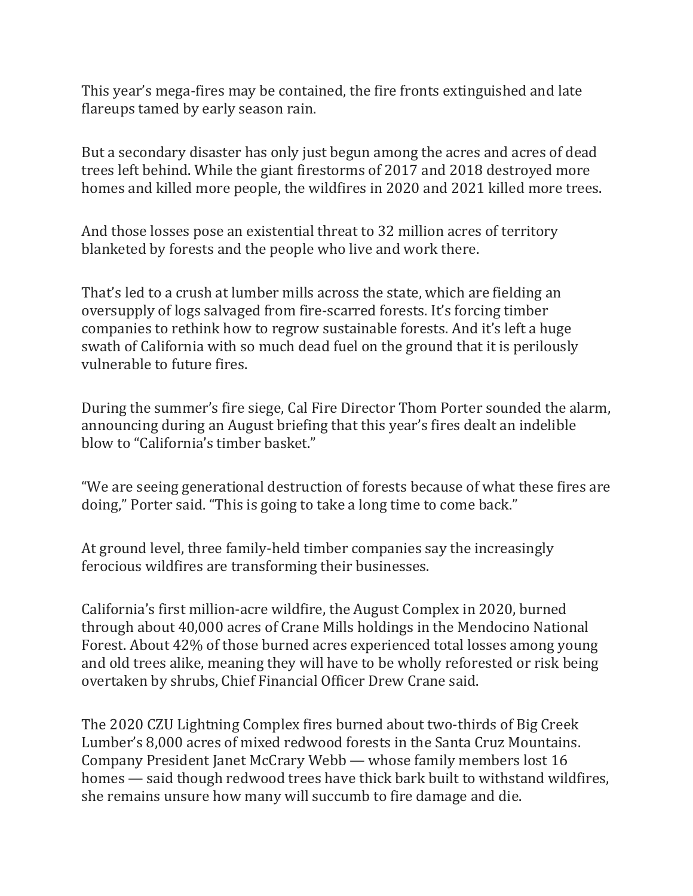This year's mega-fires may be contained, the fire fronts extinguished and late flareups tamed by early season rain.

But a secondary disaster has only just begun among the acres and acres of dead trees left behind. While the giant firestorms of 2017 and 2018 destroyed more homes and killed more people, the wildfires in 2020 and 2021 killed more trees.

And those losses pose an existential threat to 32 million acres of territory blanketed by forests and the people who live and work there.

That's led to a crush at lumber mills across the state, which are fielding an oversupply of logs salvaged from fire-scarred forests. It's forcing timber companies to rethink how to regrow sustainable forests. And it's left a huge swath of California with so much dead fuel on the ground that it is perilously vulnerable to future fires.

During the summer's fire siege, Cal Fire Director Thom Porter sounded the alarm, announcing during an August briefing that this year's fires dealt an indelible blow to "California's timber basket."

"We are seeing generational destruction of forests because of what these fires are doing," Porter said. "This is going to take a long time to come back."

At ground level, three family-held timber companies say the increasingly ferocious wildfires are transforming their businesses.

California's first million-acre wildfire, the August Complex in 2020, burned through about 40,000 acres of Crane Mills holdings in the Mendocino National Forest. About 42% of those burned acres experienced total losses among young and old trees alike, meaning they will have to be wholly reforested or risk being overtaken by shrubs, Chief Financial Officer Drew Crane said.

The 2020 CZU Lightning Complex fires burned about two-thirds of Big Creek Lumber's 8,000 acres of mixed redwood forests in the Santa Cruz Mountains. Company President Janet McCrary Webb — whose family members lost 16 homes — said though redwood trees have thick bark built to withstand wildfires, she remains unsure how many will succumb to fire damage and die.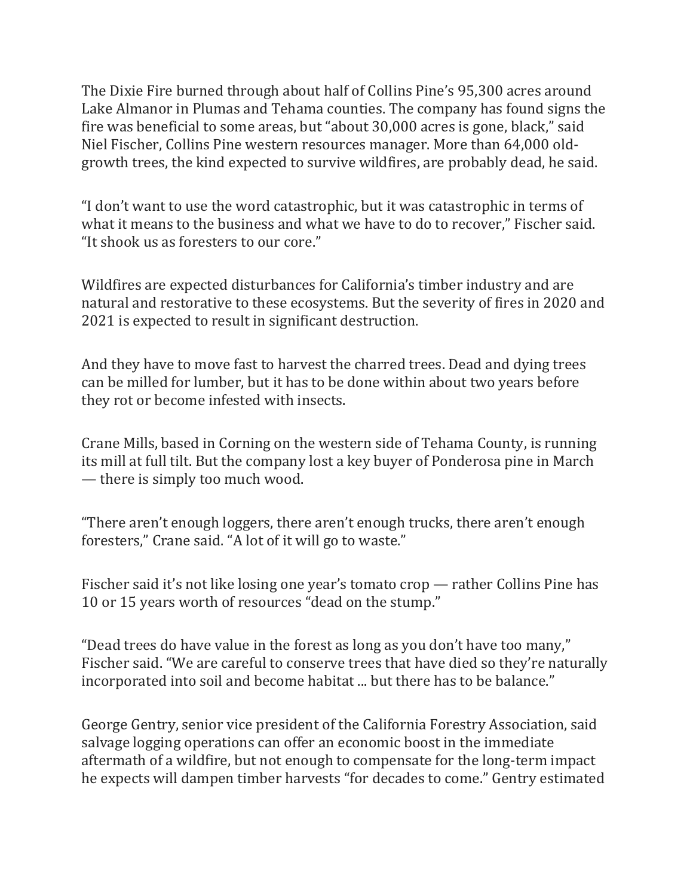The Dixie Fire burned through about half of Collins Pine's 95,300 acres around Lake Almanor in Plumas and Tehama counties. The company has found signs the fire was beneficial to some areas, but "about 30,000 acres is gone, black," said Niel Fischer, Collins Pine western resources manager. More than 64,000 oldgrowth trees, the kind expected to survive wildfires, are probably dead, he said.

"I don't want to use the word catastrophic, but it was catastrophic in terms of what it means to the business and what we have to do to recover," Fischer said. "It shook us as foresters to our core."

Wildfires are expected disturbances for California's timber industry and are natural and restorative to these ecosystems. But the severity of fires in 2020 and 2021 is expected to result in significant destruction.

And they have to move fast to harvest the charred trees. Dead and dying trees can be milled for lumber, but it has to be done within about two years before they rot or become infested with insects.

Crane Mills, based in Corning on the western side of Tehama County, is running its mill at full tilt. But the company lost a key buyer of Ponderosa pine in March — there is simply too much wood.

"There aren't enough loggers, there aren't enough trucks, there aren't enough foresters," Crane said. "A lot of it will go to waste."

Fischer said it's not like losing one year's tomato crop — rather Collins Pine has 10 or 15 years worth of resources "dead on the stump."

"Dead trees do have value in the forest as long as you don't have too many," Fischer said. "We are careful to conserve trees that have died so they're naturally incorporated into soil and become habitat ... but there has to be balance."

George Gentry, senior vice president of the California Forestry Association, said salvage logging operations can offer an economic boost in the immediate aftermath of a wildfire, but not enough to compensate for the long-term impact he expects will dampen timber harvests "for decades to come." Gentry estimated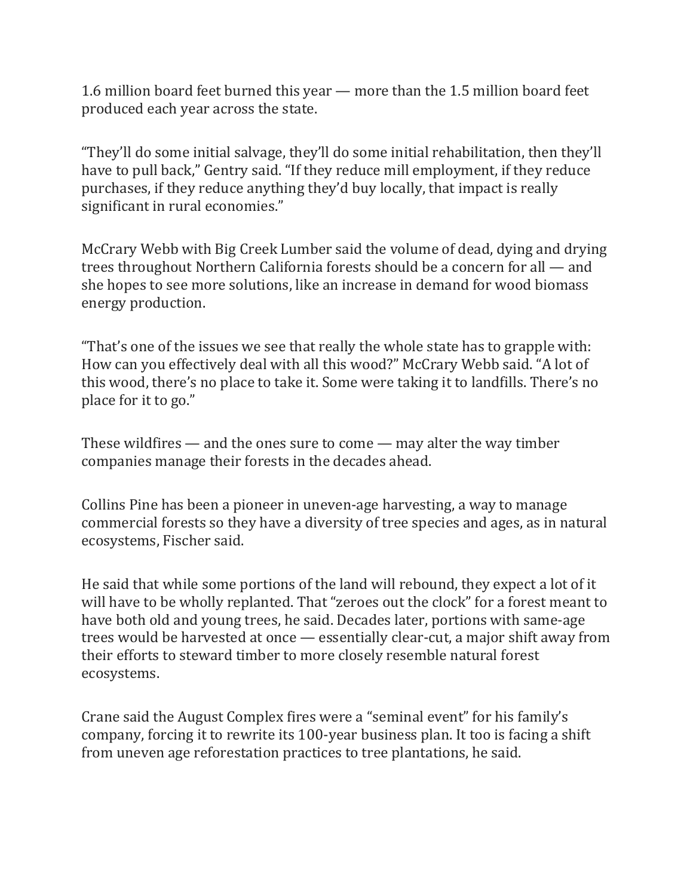1.6 million board feet burned this year — more than the 1.5 million board feet produced each year across the state.

"They'll do some initial salvage, they'll do some initial rehabilitation, then they'll have to pull back," Gentry said. "If they reduce mill employment, if they reduce purchases, if they reduce anything they'd buy locally, that impact is really significant in rural economies."

McCrary Webb with Big Creek Lumber said the volume of dead, dying and drying trees throughout Northern California forests should be a concern for all — and she hopes to see more solutions, like an increase in demand for wood biomass energy production.

"That's one of the issues we see that really the whole state has to grapple with: How can you effectively deal with all this wood?" McCrary Webb said. "A lot of this wood, there's no place to take it. Some were taking it to landfills. There's no place for it to go."

These wildfires — and the ones sure to come — may alter the way timber companies manage their forests in the decades ahead.

Collins Pine has been a pioneer in uneven-age harvesting, a way to manage commercial forests so they have a diversity of tree species and ages, as in natural ecosystems, Fischer said.

He said that while some portions of the land will rebound, they expect a lot of it will have to be wholly replanted. That "zeroes out the clock" for a forest meant to have both old and young trees, he said. Decades later, portions with same-age trees would be harvested at once — essentially clear-cut, a major shift away from their efforts to steward timber to more closely resemble natural forest ecosystems.

Crane said the August Complex fires were a "seminal event" for his family's company, forcing it to rewrite its 100-year business plan. It too is facing a shift from uneven age reforestation practices to tree plantations, he said.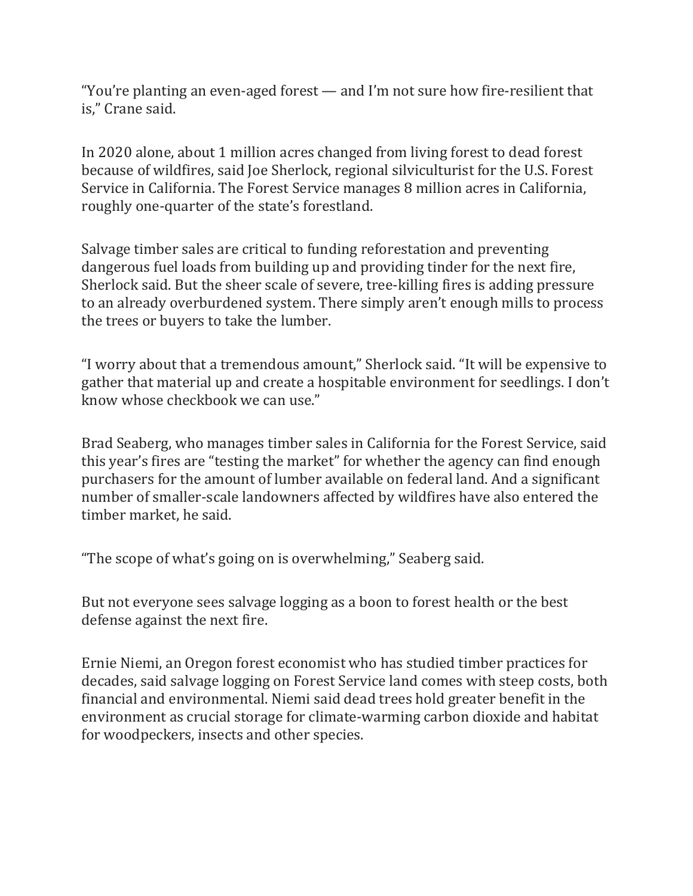"You're planting an even-aged forest — and I'm not sure how fire-resilient that is," Crane said.

In 2020 alone, about 1 million acres changed from living forest to dead forest because of wildfires, said Joe Sherlock, regional silviculturist for the U.S. Forest Service in California. The Forest Service manages 8 million acres in California, roughly one-quarter of the state's forestland.

Salvage timber sales are critical to funding reforestation and preventing dangerous fuel loads from building up and providing tinder for the next fire, Sherlock said. But the sheer scale of severe, tree-killing fires is adding pressure to an already overburdened system. There simply aren't enough mills to process the trees or buyers to take the lumber.

"I worry about that a tremendous amount," Sherlock said. "It will be expensive to gather that material up and create a hospitable environment for seedlings. I don't know whose checkbook we can use."

Brad Seaberg, who manages timber sales in California for the Forest Service, said this year's fires are "testing the market" for whether the agency can find enough purchasers for the amount of lumber available on federal land. And a significant number of smaller-scale landowners affected by wildfires have also entered the timber market, he said.

"The scope of what's going on is overwhelming," Seaberg said.

But not everyone sees salvage logging as a boon to forest health or the best defense against the next fire.

Ernie Niemi, an Oregon forest economist who has studied timber practices for decades, said salvage logging on Forest Service land comes with steep costs, both financial and environmental. Niemi said dead trees hold greater benefit in the environment as crucial storage for climate-warming carbon dioxide and habitat for woodpeckers, insects and other species.